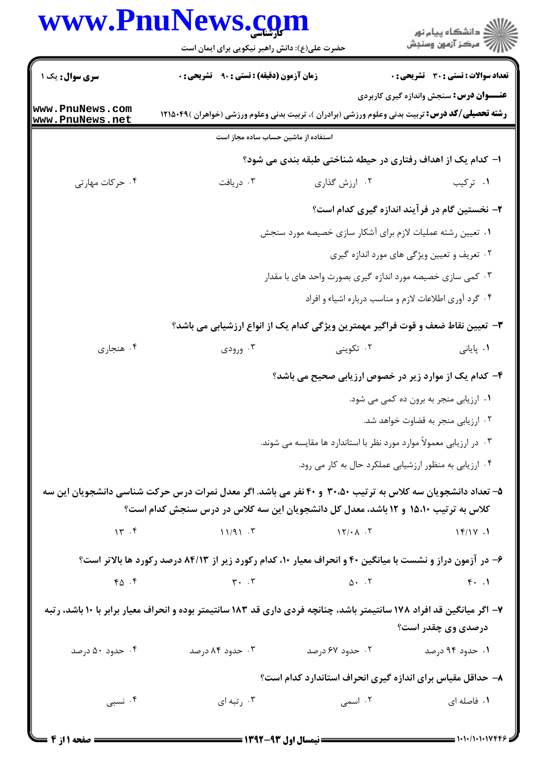## www.PnuNews.com

|                                    | www.PnuNews.com<br>حضرت علی(ع): دانش راهبر نیکویی برای ایمان است                                                                                                                                 |                                   | ڪ دانشڪاه پيا <sub>م</sub> نور<br>ر <i>7</i> مرڪز آزمون وسنڊش |  |  |
|------------------------------------|--------------------------------------------------------------------------------------------------------------------------------------------------------------------------------------------------|-----------------------------------|---------------------------------------------------------------|--|--|
| <b>سری سوال :</b> یک ۱             | <b>زمان آزمون (دقیقه) : تستی : ۹۰ قشریحی : 0</b>                                                                                                                                                 |                                   | <b>تعداد سوالات : تستي : 30 ٪ تشريحي : 0</b>                  |  |  |
| www.PnuNews.com<br>www.PnuNews.net | <b>رشته تحصیلی/کد درس:</b> تربیت بدنی وعلوم ورزشی (برادران )، تربیت بدنی وعلوم ورزشی (خواهران )۴۹×۱۲۱۵                                                                                           |                                   | <b>عنـــوان درس:</b> سنجش واندازه گیری کاربردی                |  |  |
|                                    | استفاده از ماشین حساب ساده مجاز است                                                                                                                                                              |                                   |                                                               |  |  |
|                                    |                                                                                                                                                                                                  |                                   | ا– کدام یک از اهداف رفتاری در حیطه شناختی طبقه بندی می شود؟   |  |  |
| ۰۴ حرکات مهارتی                    | ۰۳ دریافت                                                                                                                                                                                        | ۰۲ ارزش گذاری                     | ۰۱ ترکیب                                                      |  |  |
|                                    |                                                                                                                                                                                                  |                                   | ۲- نخستین گام در فرآیند اندازه گیری کدام است؟                 |  |  |
|                                    |                                                                                                                                                                                                  |                                   | ۱. تعیین رشته عملیات لازم برای آشکار سازی خصیصه مورد سنجش     |  |  |
|                                    |                                                                                                                                                                                                  |                                   | ۰۲ تعریف و تعیین ویژگی های مورد اندازه گیری                   |  |  |
|                                    |                                                                                                                                                                                                  |                                   | ۰۳ کمی سازی خصیصه مورد اندازه گیری بصورت واحد های با مقدار    |  |  |
|                                    |                                                                                                                                                                                                  |                                   | ۰۴ گرد آوری اطلاعات لازم و مناسب درباره اشیاء و افراد         |  |  |
|                                    | ۳–  تعیین نقاط ضعف و قوت فراگیر مهمترین ویژگی کدام یک از انواع ارزشیابی می باشد؟                                                                                                                 |                                   |                                                               |  |  |
| ۰۴ هنجاري                          | ۰۳ ورودی $\cdot$                                                                                                                                                                                 | ۰۲ تکوینی                         | ۰۱ پایانی                                                     |  |  |
|                                    |                                                                                                                                                                                                  |                                   | ۴- کدام یک از موارد زیر در خصوص ارزیابی صحیح می باشد؟         |  |  |
|                                    |                                                                                                                                                                                                  |                                   | ۰۱ ارزیابی منجر به برون ده کمی می شود.                        |  |  |
|                                    |                                                                                                                                                                                                  |                                   | ۰۲ ارزیابی منجر به قضاوت خواهد شد.                            |  |  |
|                                    | ۰۳ در ارزیابی معمولاً موارد مورد نظر با استاندارد ها مقایسه می شوند.                                                                                                                             |                                   |                                                               |  |  |
|                                    |                                                                                                                                                                                                  |                                   | ۰۴ ارزیابی به منظور ارزشیابی عملکرد حال به کار می رود.        |  |  |
|                                    | ۵– تعداد دانشجویان سه کلاس به ترتیب ۳۰،۵۰ و ۴۰ نفر می باشد. اگر معدل نمرات درس حرکت شناسی دانشجویان این سه<br>کلاس به ترتیب ۱۵،۱۰ و ۱۲ باشد، معدل کل دانشجویان این سه کلاس در درس سنجش کدام است؟ |                                   |                                                               |  |  |
| $\gamma$ $\gamma$                  | 11/91.7                                                                                                                                                                                          | $\mathcal{N}/\cdot \mathcal{N}$ . | 17/17.1                                                       |  |  |
|                                    | ۶- در آزمون دراز و نشست با میانگین ۴۰ و انحراف معیار ۱۰، کدام رکورد زیر از ۸۴/۱۳ درصد رکورد ها بالاتر است؟                                                                                       |                                   |                                                               |  |  |
| 40.5                               | $\mathsf{r} \cdot \mathsf{r}$ and $\mathsf{r} \cdot \mathsf{r}$ and $\mathsf{r} \cdot \mathsf{r}$                                                                                                |                                   | $\mathfrak{g}$ . $\mathfrak{g}$                               |  |  |
|                                    | ۷– اگر میانگین قد افراد ۱۷۸ سانتیمتر باشد، چنانچه فردی داری قد ۱۸۳ سانتیمتر بوده و انحراف معیار برابر با ۱۰ باشد، رتبه                                                                           |                                   | درصدی وی چقدر است؟                                            |  |  |
| ۰۴ حدود ۵۰ درصد                    | ۰۳ حدود ۸۴ درصد                                                                                                                                                                                  | ۰۲ حدود ۶۷ درصد                   | ۰۱ حدود ۹۴ درصد                                               |  |  |
|                                    |                                                                                                                                                                                                  |                                   | ۸– حداقل مقیاس برای اندازه گیری انحراف استاندارد کدام است؟    |  |  |
| ۰۴ نسبی                            | ۰۳ رتبه ای                                                                                                                                                                                       | ۰۲ اسمی                           | ۰۱ فاصله ای                                                   |  |  |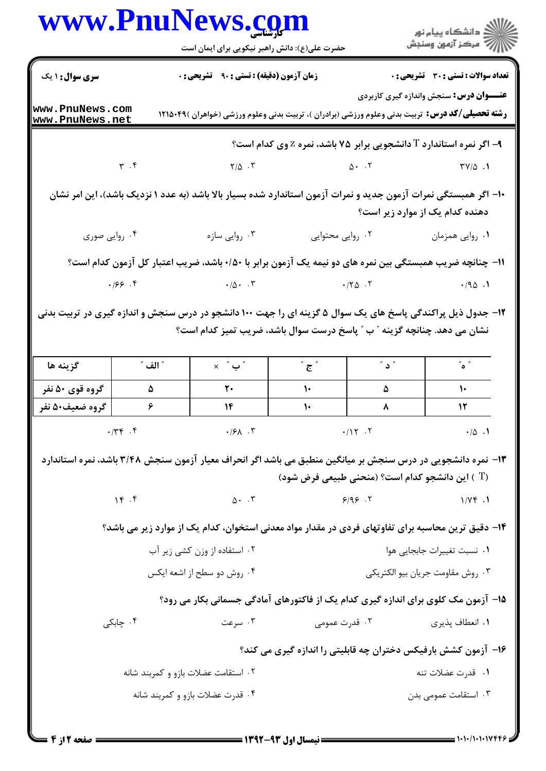| www.PnuNews.com                    |               |                                                                                                                                                                                         |                                                                                                                                                                                                                                                                                                                                 |        | الان دانشگاه پيام نور<br>الاست مرکز آزمون وسنجش                                                                                                          |  |
|------------------------------------|---------------|-----------------------------------------------------------------------------------------------------------------------------------------------------------------------------------------|---------------------------------------------------------------------------------------------------------------------------------------------------------------------------------------------------------------------------------------------------------------------------------------------------------------------------------|--------|----------------------------------------------------------------------------------------------------------------------------------------------------------|--|
|                                    |               | حضرت علی(ع): دانش راهبر نیکویی برای ایمان است                                                                                                                                           |                                                                                                                                                                                                                                                                                                                                 |        |                                                                                                                                                          |  |
| <b>سری سوال : ۱ یک</b>             |               | زمان آزمون (دقیقه) : تستی : ۹۰٪ تشریحی : ۰                                                                                                                                              |                                                                                                                                                                                                                                                                                                                                 |        | <b>تعداد سوالات : تستی : 30 ٪ تشریحی : 0</b>                                                                                                             |  |
| www.PnuNews.com<br>www.PnuNews.net |               |                                                                                                                                                                                         |                                                                                                                                                                                                                                                                                                                                 |        | <b>عنـــوان درس:</b> سنجش واندازه گیری کاربردی<br><b>رشته تحصیلی/کد درس:</b> تربیت بدنی وعلوم ورزشی (برادران )، تربیت بدنی وعلوم ورزشی (خواهران )۴۹×۱۲۱۵ |  |
|                                    |               |                                                                                                                                                                                         |                                                                                                                                                                                                                                                                                                                                 |        | ۹- اگر نمره استاندارد T دانشجویی برابر ۷۵ باشد، نمره Z وی کدام است؟                                                                                      |  |
| $\gamma$ . $\gamma$                |               | $Y/\Delta$ . $Y'$                                                                                                                                                                       |                                                                                                                                                                                                                                                                                                                                 |        | $\Delta$ . T $\gamma/\Delta$ .                                                                                                                           |  |
|                                    |               |                                                                                                                                                                                         |                                                                                                                                                                                                                                                                                                                                 |        | ۱۰– اگر همبستگی نمرات آزمون جدید و نمرات آزمون استاندارد شده بسیار بالا باشد (به عدد ۱ نزدیک باشد)، این امر نشان<br>دهنده کدام یک از موارد زیر است؟      |  |
| ۰۴ روایی صوری                      |               | ۰۳ روایی سازه                                                                                                                                                                           | ۰۲ روایی محتوایی                                                                                                                                                                                                                                                                                                                |        | ۰۱ روایی همزمان                                                                                                                                          |  |
|                                    |               |                                                                                                                                                                                         |                                                                                                                                                                                                                                                                                                                                 |        | 11– چنانچه ضریب همبستگی بین نمره های دو نیمه یک آزمون برابر با ۰/۵۰+ باشد، ضریب اعتبار کل آزمون کدام است؟                                                |  |
|                                    |               |                                                                                                                                                                                         | $\cdot$ $\hspace{0.1cm}$ $\cdot$ $\hspace{0.1cm}$ $\hspace{0.1cm}$ $\cdot$ $\hspace{0.1cm}$ $\hspace{0.1cm}$ $\cdot$ $\hspace{0.1cm}$ $\hspace{0.1cm}$ $\hspace{0.1cm}$ $\hspace{0.1cm}$ $\hspace{0.1cm}$ $\hspace{0.1cm}$ $\hspace{0.1cm}$ $\hspace{0.1cm}$ $\hspace{0.1cm}$ $\hspace{0.1cm}$ $\hspace{0.1cm}$ $\hspace{0.1cm$ |        |                                                                                                                                                          |  |
|                                    |               |                                                                                                                                                                                         |                                                                                                                                                                                                                                                                                                                                 |        |                                                                                                                                                          |  |
|                                    |               |                                                                                                                                                                                         |                                                                                                                                                                                                                                                                                                                                 |        |                                                                                                                                                          |  |
|                                    |               | ۱۲- جدول ذیل پراکندگی پاسخ های یک سوال ۵ گزینه ای را جهت ۱۰۰ دانشجو در درس سنجش و اندازه گیری در تربیت بدنی<br>نشان می دهد. چنانچه گزینه " ب " پاسخ درست سوال باشد، ضریب تمیز کدام است؟ |                                                                                                                                                                                                                                                                                                                                 |        |                                                                                                                                                          |  |
| گزينه ها                           | ″ الف ″       | $\times$ " ب $^"$                                                                                                                                                                       | ້ $\tilde{\epsilon}$                                                                                                                                                                                                                                                                                                            | ້ ບ້   | $\sim$ $\sim$                                                                                                                                            |  |
| گروه قوی ۵۰ نفر                    | ۵             | $\mathbf{r}$ .                                                                                                                                                                          | $\mathcal{N}$                                                                                                                                                                                                                                                                                                                   | ۵      | $\frac{1}{\sqrt{2\pi}}$                                                                                                                                  |  |
| گروه ضعیف۵۰ نفر                    | ۶             | ۱۴                                                                                                                                                                                      | ١٠                                                                                                                                                                                                                                                                                                                              | ٨      | $\overline{11}$                                                                                                                                          |  |
|                                    | $\cdot$ /٣۴.۴ | $\cdot$ / $\mathcal{F}$ . $\mathcal{F}$                                                                                                                                                 |                                                                                                                                                                                                                                                                                                                                 | .117.7 | $\cdot/\Delta$ .                                                                                                                                         |  |
|                                    |               |                                                                                                                                                                                         |                                                                                                                                                                                                                                                                                                                                 |        | ۱۳- نمره دانشجویی در درس سنجش بر میانگین منطبق می باشد اگر انحراف معیار آزمون سنجش ۳/۴۸ باشد، نمره استاندارد                                             |  |
|                                    |               |                                                                                                                                                                                         |                                                                                                                                                                                                                                                                                                                                 |        | (T ) این دانشجو کدام است؟ (منحنی طبیعی فرض شود)                                                                                                          |  |
|                                    | 14.7          |                                                                                                                                                                                         |                                                                                                                                                                                                                                                                                                                                 |        | 1/YF.1                                                                                                                                                   |  |
|                                    |               |                                                                                                                                                                                         |                                                                                                                                                                                                                                                                                                                                 |        | ۱۴– دقیق ترین محاسبه برای تفاوتهای فردی در مقدار مواد معدنی استخوان، کدام یک از موارد زیر می باشد؟                                                       |  |
|                                    |               | ۰۲ استفاده از وزن کشی زیر آب                                                                                                                                                            |                                                                                                                                                                                                                                                                                                                                 |        | ٠١ نسبت تغييرات جابجايي هوا                                                                                                                              |  |
|                                    |               | ۰۴ روش دو سطح از اشعه ایکس                                                                                                                                                              |                                                                                                                                                                                                                                                                                                                                 |        | ۰۳ روش مقاومت جريان بيو الكتريكي                                                                                                                         |  |
|                                    |               |                                                                                                                                                                                         |                                                                                                                                                                                                                                                                                                                                 |        | 1۵- آزمون مک کلوی برای اندازه گیری کدام یک از فاکتورهای آمادگی جسمانی بکار می رود؟                                                                       |  |
|                                    | ۰۴ چابکی      | ۰۳ سرعت                                                                                                                                                                                 | ۰۲ قدرت عمومی                                                                                                                                                                                                                                                                                                                   |        | ۰۱ انعطاف پذیری                                                                                                                                          |  |
|                                    |               |                                                                                                                                                                                         |                                                                                                                                                                                                                                                                                                                                 |        | ۱۶- آزمون کشش بارفیکس دختران چه قابلیتی را اندازه گیری می کند؟                                                                                           |  |
|                                    |               | ۰۲ استقامت عضلات بازو و کمربند شانه                                                                                                                                                     |                                                                                                                                                                                                                                                                                                                                 |        | ۰۱ قدرت عضلات تنه                                                                                                                                        |  |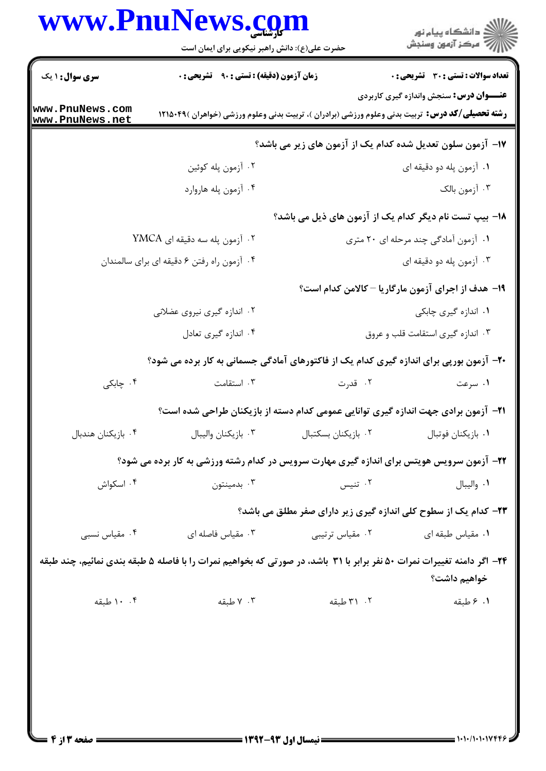## www.PnuNews.com

|                                    | www.PnuNews.com<br>حضرت علی(ع): دانش راهبر نیکویی برای ایمان است                                                        |                     | ڪ دانشڪاه پيام نور<br>/7 مرڪز آزمون وسنڊش                       |
|------------------------------------|-------------------------------------------------------------------------------------------------------------------------|---------------------|-----------------------------------------------------------------|
| <b>سری سوال : ۱ یک</b>             | <b>زمان آزمون (دقیقه) : تستی : ۹۰ قشریحی : 0</b>                                                                        |                     | <b>تعداد سوالات : تستی : 30 ٪ تشریحی : 0</b>                    |
| www.PnuNews.com<br>www.PnuNews.net | <b>رشته تحصیلی/کد درس:</b> تربیت بدنی وعلوم ورزشی (برادران )، تربیت بدنی وعلوم ورزشی (خواهران )۴۹×۱۲۱۵                  |                     | <b>عنـــوان درس:</b> سنجش واندازه گیری کاربردی                  |
|                                    |                                                                                                                         |                     | ۱۷– آزمون سلون تعدیل شده کدام یک از آزمون های زیر می باشد؟      |
|                                    | ۰۲ آزمون پله کوئين                                                                                                      |                     | ۰۱ آزمون پله دو دقیقه ای                                        |
|                                    | ۰۴ آزمون پله هاروارد                                                                                                    |                     | ۰۳ آزمون بالک                                                   |
|                                    |                                                                                                                         |                     | 18– بیپ تست نام دیگر کدام یک از آزمون های ذیل می باشد؟          |
| ۰۲ آزمون پله سه دقیقه ای YMCA      |                                                                                                                         |                     | ۰۱ آزمون آمادگی چند مرحله ای ۲۰ متری                            |
|                                    | ۰۴ آزمون راه رفتن ۶ دقیقه ای برای سالمندان                                                                              |                     | ۰۳ آزمون پله دو دقیقه ای                                        |
|                                    |                                                                                                                         |                     | ۱۹- هدف از اجرای آزمون مارگاریا – کالامن کدام است؟              |
|                                    | ۰۲ اندازه گیری نیروی عضلانی                                                                                             |                     | ۰۱ اندازه گیری چابکی                                            |
|                                    | ۰۴ اندازه گیری تعادل                                                                                                    |                     | ۰۳ اندازه گیری استقامت قلب و عروق                               |
|                                    | +۲- آزمون بورپی برای اندازه گیری کدام یک از فاکتورهای آمادگی جسمانی به کار برده می شود؟                                 |                     |                                                                 |
| ۰۴ چابکی                           | ۰۳ استقامت                                                                                                              | ۰۲ قدرت             | ۰۱ سرعت                                                         |
|                                    | <b>۲۱</b> - آزمون برادی جهت اندازه گیری توانایی عمومی کدام دسته از بازیکنان طراحی شده است؟                              |                     |                                                                 |
| ۰۴ بازیکنان هندبال                 | ٠٣ بازيكنان واليبال                                                                                                     | ۰۲ بازیکنان بسکتبال | ٠١. بازيكنان فوتبال                                             |
|                                    | ۲۲- آزمون سرویس هویتس برای اندازه گیری مهارت سرویس در کدام رشته ورزشی به کار برده می شود؟                               |                     |                                                                 |
| ۰۴ اسکواش                          | بدمينتون $\cdot$                                                                                                        | ۰۲ تنيس             | ٠١. واليبال                                                     |
|                                    |                                                                                                                         |                     | ۲۳- کدام یک از سطوح کلی اندازه گیری زیر دارای صفر مطلق می باشد؟ |
| ۰۴ مقیاس نسبی                      | ۰۳ مقیاس فاصله ای                                                                                                       | ۰۲ مقیاس ترتیبی     | ٠١ مقياس طبقه اي                                                |
|                                    | ۲۴- اگر دامنه تغییرات نمرات ۵۰ نفر برابر با ۳۱ باشد، در صورتی که بخواهیم نمرات را با فاصله ۵ طبقه بندی نمائیم، چند طبقه |                     | خواهيم داشت؟                                                    |
|                                    | ۰۳ کا طبقه                                                                                                              | ۰۲ (۳ طبقه          | ۰۱ ۶ طبقه                                                       |